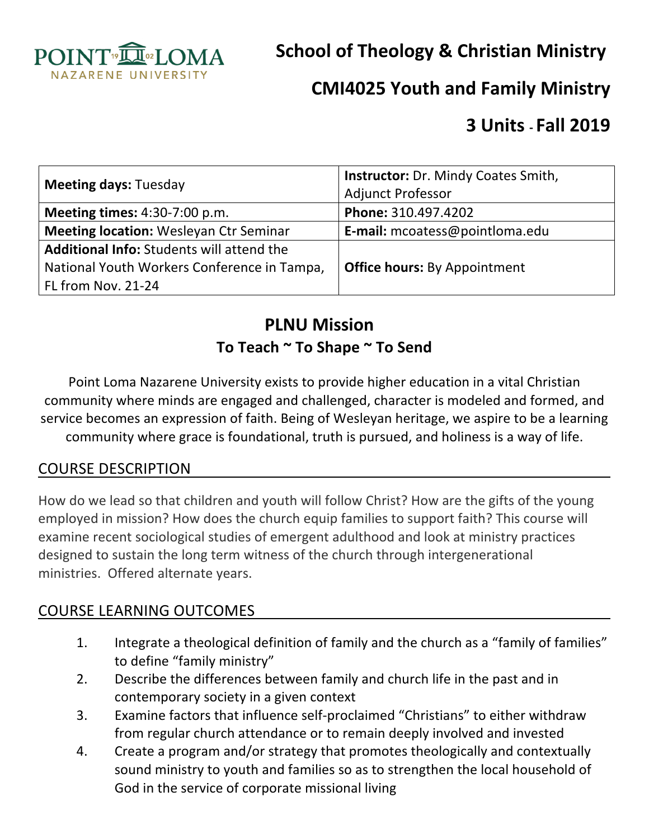

**School of Theology & Christian Ministry** 

# **CMI4025 Youth and Family Ministry**

# **3 Units - Fall 2019**

| <b>Meeting days: Tuesday</b>                     | <b>Instructor:</b> Dr. Mindy Coates Smith,<br><b>Adjunct Professor</b> |  |
|--------------------------------------------------|------------------------------------------------------------------------|--|
| <b>Meeting times: 4:30-7:00 p.m.</b>             | Phone: 310.497.4202                                                    |  |
| <b>Meeting location:</b> Wesleyan Ctr Seminar    | <b>E-mail:</b> mcoatess@pointloma.edu                                  |  |
| <b>Additional Info:</b> Students will attend the |                                                                        |  |
| National Youth Workers Conference in Tampa,      | <b>Office hours: By Appointment</b>                                    |  |
| FL from Nov. 21-24                               |                                                                        |  |

# **PLNU Mission** To Teach ~ To Shape ~ To Send

Point Loma Nazarene University exists to provide higher education in a vital Christian community where minds are engaged and challenged, character is modeled and formed, and service becomes an expression of faith. Being of Wesleyan heritage, we aspire to be a learning community where grace is foundational, truth is pursued, and holiness is a way of life.

#### **COURSE DESCRIPTION**

How do we lead so that children and youth will follow Christ? How are the gifts of the young employed in mission? How does the church equip families to support faith? This course will examine recent sociological studies of emergent adulthood and look at ministry practices designed to sustain the long term witness of the church through intergenerational ministries. Offered alternate years.

## COURSE LEARNING OUTCOMES

- 1. Integrate a theological definition of family and the church as a "family of families" to define "family ministry"
- 2. Describe the differences between family and church life in the past and in contemporary society in a given context
- 3. Examine factors that influence self-proclaimed "Christians" to either withdraw from regular church attendance or to remain deeply involved and invested
- 4. Create a program and/or strategy that promotes theologically and contextually sound ministry to youth and families so as to strengthen the local household of God in the service of corporate missional living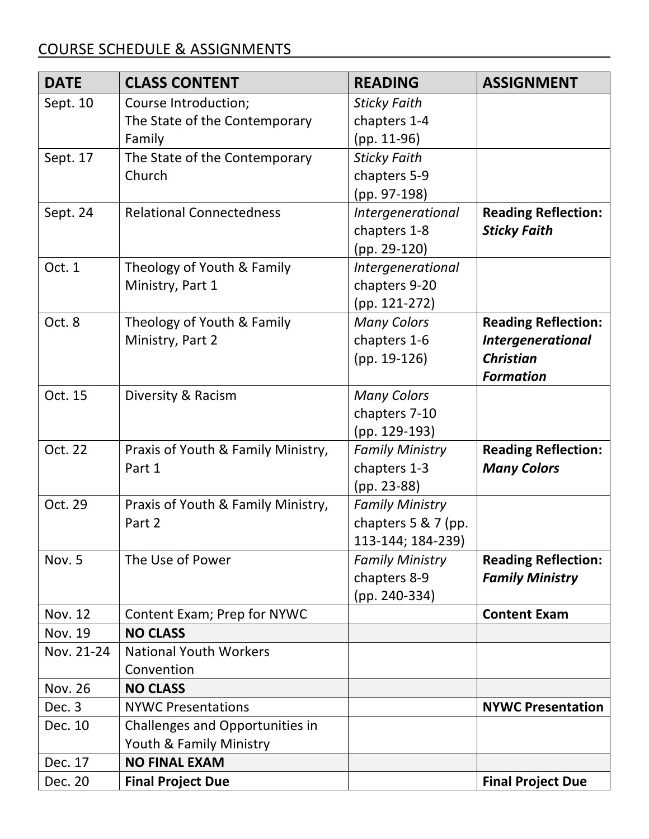## COURSE SCHEDULE & ASSIGNMENTS

| <b>DATE</b>    | <b>CLASS CONTENT</b>               | <b>READING</b>         | <b>ASSIGNMENT</b>          |
|----------------|------------------------------------|------------------------|----------------------------|
| Sept. 10       | Course Introduction;               | <b>Sticky Faith</b>    |                            |
|                | The State of the Contemporary      | chapters 1-4           |                            |
|                | Family                             | $(pp. 11-96)$          |                            |
| Sept. 17       | The State of the Contemporary      | <b>Sticky Faith</b>    |                            |
|                | Church                             | chapters 5-9           |                            |
|                |                                    | (pp. 97-198)           |                            |
| Sept. 24       | <b>Relational Connectedness</b>    | Intergenerational      | <b>Reading Reflection:</b> |
|                |                                    | chapters 1-8           | <b>Sticky Faith</b>        |
|                |                                    | $(pp. 29-120)$         |                            |
| Oct. 1         | Theology of Youth & Family         | Intergenerational      |                            |
|                | Ministry, Part 1                   | chapters 9-20          |                            |
|                |                                    | $(pp. 121-272)$        |                            |
| Oct. 8         | Theology of Youth & Family         | <b>Many Colors</b>     | <b>Reading Reflection:</b> |
|                | Ministry, Part 2                   | chapters 1-6           | <b>Intergenerational</b>   |
|                |                                    | $(pp. 19-126)$         | <b>Christian</b>           |
|                |                                    |                        | <b>Formation</b>           |
| Oct. 15        | Diversity & Racism                 | <b>Many Colors</b>     |                            |
|                |                                    | chapters 7-10          |                            |
|                |                                    | (pp. 129-193)          |                            |
| Oct. 22        | Praxis of Youth & Family Ministry, | <b>Family Ministry</b> | <b>Reading Reflection:</b> |
|                | Part 1                             | chapters 1-3           | <b>Many Colors</b>         |
|                |                                    | (pp. 23-88)            |                            |
| Oct. 29        | Praxis of Youth & Family Ministry, | <b>Family Ministry</b> |                            |
|                | Part 2                             | chapters 5 & 7 (pp.    |                            |
|                |                                    | 113-144; 184-239)      |                            |
| Nov. 5         | The Use of Power                   | <b>Family Ministry</b> | <b>Reading Reflection:</b> |
|                |                                    | chapters 8-9           | <b>Family Ministry</b>     |
|                |                                    | (pp. 240-334)          |                            |
| <b>Nov. 12</b> | Content Exam; Prep for NYWC        |                        | <b>Content Exam</b>        |
| <b>Nov. 19</b> | <b>NO CLASS</b>                    |                        |                            |
| Nov. 21-24     | <b>National Youth Workers</b>      |                        |                            |
|                | Convention                         |                        |                            |
| <b>Nov. 26</b> | <b>NO CLASS</b>                    |                        |                            |
| Dec. 3         | <b>NYWC Presentations</b>          |                        | <b>NYWC Presentation</b>   |
| Dec. 10        | Challenges and Opportunities in    |                        |                            |
|                | Youth & Family Ministry            |                        |                            |
| Dec. 17        | <b>NO FINAL EXAM</b>               |                        |                            |
| Dec. 20        | <b>Final Project Due</b>           |                        | <b>Final Project Due</b>   |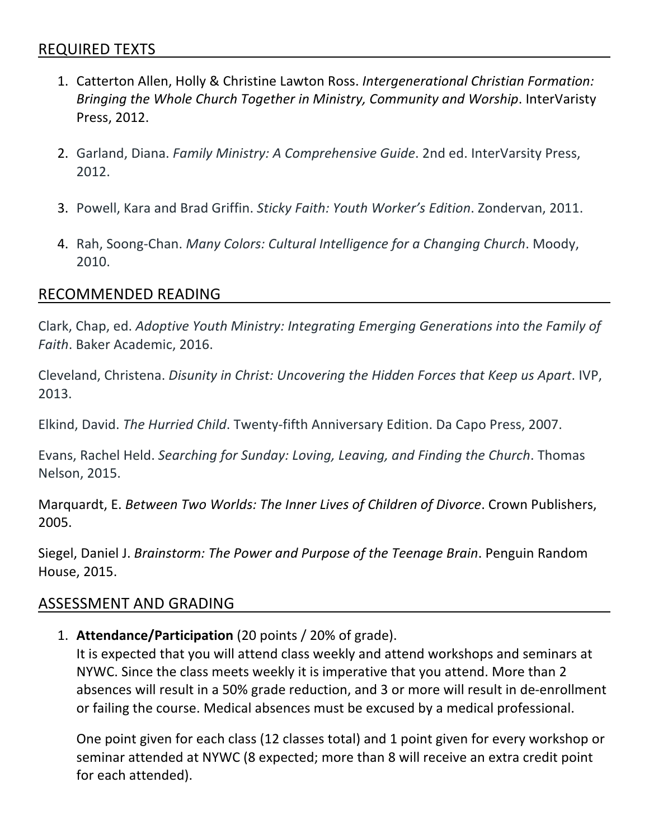- 1. Catterton Allen, Holly & Christine Lawton Ross. Intergenerational Christian Formation: *Bringing the Whole Church Together in Ministry, Community and Worship.* InterVaristy Press, 2012.
- 2. Garland, Diana. *Family Ministry: A Comprehensive Guide*. 2nd ed. InterVarsity Press, 2012.
- 3. Powell, Kara and Brad Griffin. Sticky Faith: Youth Worker's Edition. Zondervan, 2011.
- 4. Rah, Soong-Chan. *Many Colors: Cultural Intelligence for a Changing Church*. Moody, 2010.

#### RECOMMENDED READING

Clark, Chap, ed. *Adoptive Youth Ministry: Integrating Emerging Generations into the Family of* Faith. Baker Academic, 2016.

Cleveland, Christena. *Disunity in Christ: Uncovering the Hidden Forces that Keep us Apart*. IVP, 2013. 

Elkind, David. *The Hurried Child*. Twenty-fifth Anniversary Edition. Da Capo Press, 2007.

Evans, Rachel Held. *Searching for Sunday: Loving, Leaving, and Finding the Church*. Thomas Nelson, 2015. 

Marquardt, E. *Between Two Worlds: The Inner Lives of Children of Divorce*. Crown Publishers, 2005. 

Siegel, Daniel J. *Brainstorm: The Power and Purpose of the Teenage Brain*. Penguin Random House, 2015.

#### ASSESSMENT AND GRADING

1. **Attendance/Participation** (20 points / 20% of grade). 

It is expected that you will attend class weekly and attend workshops and seminars at NYWC. Since the class meets weekly it is imperative that you attend. More than 2 absences will result in a 50% grade reduction, and 3 or more will result in de-enrollment or failing the course. Medical absences must be excused by a medical professional.

One point given for each class (12 classes total) and 1 point given for every workshop or seminar attended at NYWC (8 expected; more than 8 will receive an extra credit point for each attended).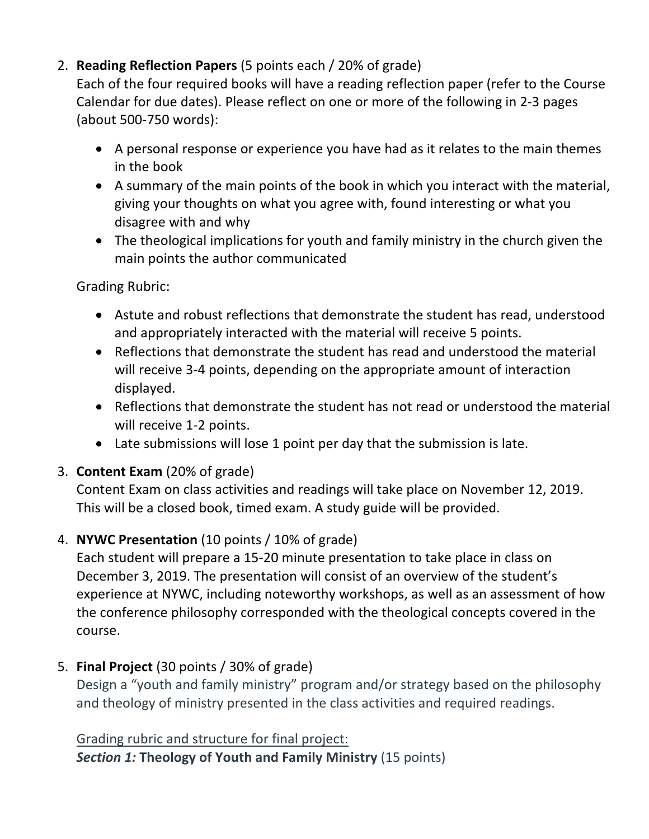## 2. **Reading Reflection Papers** (5 points each / 20% of grade)

Each of the four required books will have a reading reflection paper (refer to the Course Calendar for due dates). Please reflect on one or more of the following in 2-3 pages (about 500-750 words):

- A personal response or experience you have had as it relates to the main themes in the book
- A summary of the main points of the book in which you interact with the material, giving your thoughts on what you agree with, found interesting or what you disagree with and why
- The theological implications for youth and family ministry in the church given the main points the author communicated

Grading Rubric:

- Astute and robust reflections that demonstrate the student has read, understood and appropriately interacted with the material will receive 5 points.
- Reflections that demonstrate the student has read and understood the material will receive 3-4 points, depending on the appropriate amount of interaction displayed.
- Reflections that demonstrate the student has not read or understood the material will receive 1-2 points.
- Late submissions will lose 1 point per day that the submission is late.

## 3. **Content Exam** (20% of grade)

Content Exam on class activities and readings will take place on November 12, 2019. This will be a closed book, timed exam. A study guide will be provided.

## 4. **NYWC Presentation** (10 points / 10% of grade)

Each student will prepare a 15-20 minute presentation to take place in class on December 3, 2019. The presentation will consist of an overview of the student's experience at NYWC, including noteworthy workshops, as well as an assessment of how the conference philosophy corresponded with the theological concepts covered in the course.

## 5. **Final Project** (30 points / 30% of grade)

Design a "youth and family ministry" program and/or strategy based on the philosophy and theology of ministry presented in the class activities and required readings.

Grading rubric and structure for final project:

**Section 1: Theology of Youth and Family Ministry (15 points)**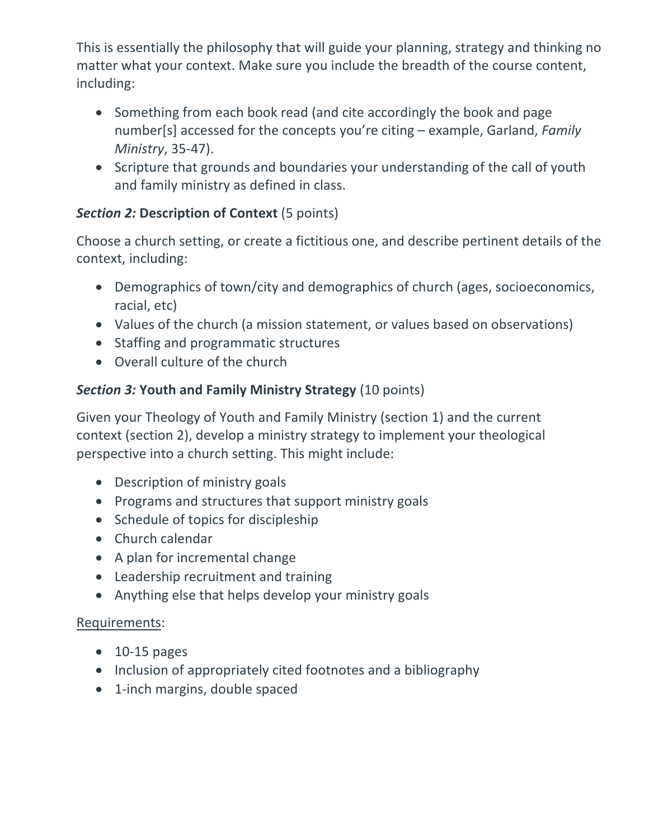This is essentially the philosophy that will guide your planning, strategy and thinking no matter what your context. Make sure you include the breadth of the course content, including:

- Something from each book read (and cite accordingly the book and page number[s] accessed for the concepts you're citing - example, Garland, *Family Ministry*, 35-47).
- Scripture that grounds and boundaries your understanding of the call of youth and family ministry as defined in class.

## **Section 2: Description of Context** (5 points)

Choose a church setting, or create a fictitious one, and describe pertinent details of the context, including:

- Demographics of town/city and demographics of church (ages, socioeconomics, racial, etc)
- Values of the church (a mission statement, or values based on observations)
- Staffing and programmatic structures
- Overall culture of the church

## **Section 3: Youth and Family Ministry Strategy** (10 points)

Given your Theology of Youth and Family Ministry (section 1) and the current context (section 2), develop a ministry strategy to implement your theological perspective into a church setting. This might include:

- Description of ministry goals
- Programs and structures that support ministry goals
- Schedule of topics for discipleship
- Church calendar
- A plan for incremental change
- Leadership recruitment and training
- Anything else that helps develop your ministry goals

## Requirements:

- $\bullet$  10-15 pages
- Inclusion of appropriately cited footnotes and a bibliography
- 1-inch margins, double spaced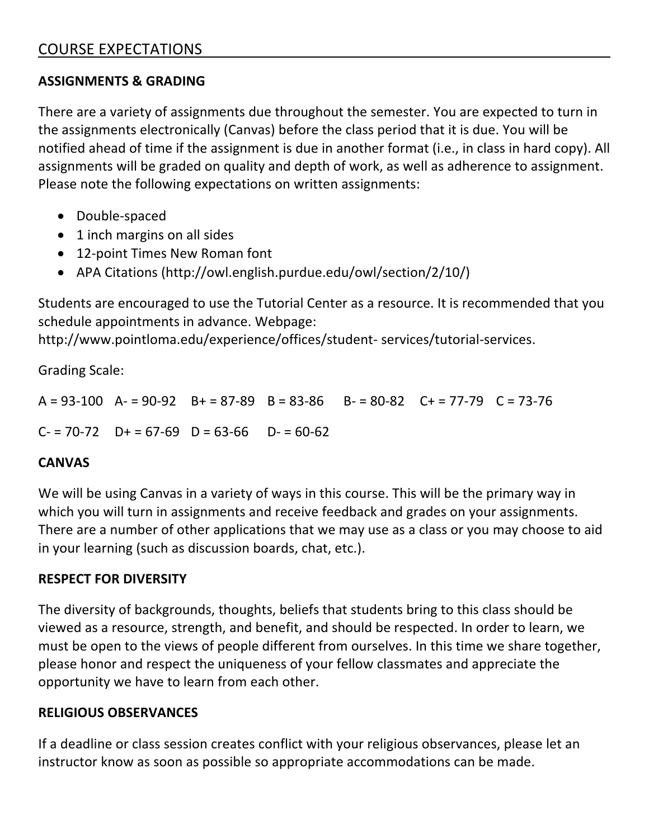#### **ASSIGNMENTS & GRADING**

There are a variety of assignments due throughout the semester. You are expected to turn in the assignments electronically (Canvas) before the class period that it is due. You will be notified ahead of time if the assignment is due in another format (i.e., in class in hard copy). All assignments will be graded on quality and depth of work, as well as adherence to assignment. Please note the following expectations on written assignments:

- Double-spaced
- 1 inch margins on all sides
- 12-point Times New Roman font
- APA Citations (http://owl.english.purdue.edu/owl/section/2/10/)

Students are encouraged to use the Tutorial Center as a resource. It is recommended that you schedule appointments in advance. Webpage:

http://www.pointloma.edu/experience/offices/student- services/tutorial-services. 

Grading Scale:

 $A = 93-100$   $A = 90-92$   $B = 87-89$   $B = 83-86$   $B = 80-82$   $C = 77-79$   $C = 73-76$ 

 $C = 70-72$   $D+ = 67-69$   $D = 63-66$   $D- = 60-62$ 

## **CANVAS**

We will be using Canvas in a variety of ways in this course. This will be the primary way in which you will turn in assignments and receive feedback and grades on your assignments. There are a number of other applications that we may use as a class or you may choose to aid in your learning (such as discussion boards, chat, etc.).

## **RESPECT FOR DIVERSITY**

The diversity of backgrounds, thoughts, beliefs that students bring to this class should be viewed as a resource, strength, and benefit, and should be respected. In order to learn, we must be open to the views of people different from ourselves. In this time we share together, please honor and respect the uniqueness of your fellow classmates and appreciate the opportunity we have to learn from each other.

## **RELIGIOUS OBSERVANCES**

If a deadline or class session creates conflict with your religious observances, please let an instructor know as soon as possible so appropriate accommodations can be made.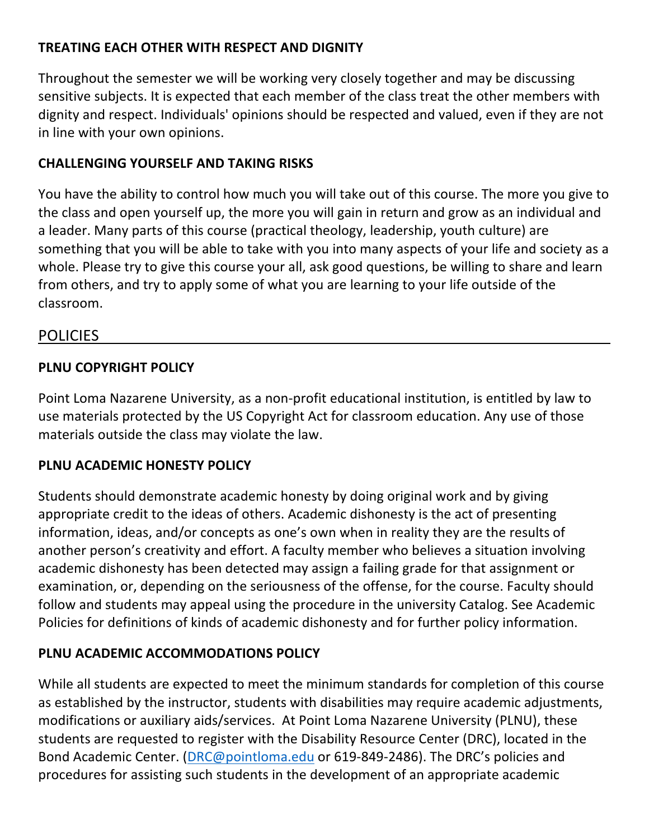#### **TREATING EACH OTHER WITH RESPECT AND DIGNITY**

Throughout the semester we will be working very closely together and may be discussing sensitive subjects. It is expected that each member of the class treat the other members with dignity and respect. Individuals' opinions should be respected and valued, even if they are not in line with your own opinions.

#### **CHALLENGING YOURSELF AND TAKING RISKS**

You have the ability to control how much you will take out of this course. The more you give to the class and open yourself up, the more you will gain in return and grow as an individual and a leader. Many parts of this course (practical theology, leadership, youth culture) are something that you will be able to take with you into many aspects of your life and society as a whole. Please try to give this course your all, ask good questions, be willing to share and learn from others, and try to apply some of what you are learning to your life outside of the classroom. 

#### POLICIES

#### **PLNU COPYRIGHT POLICY**

Point Loma Nazarene University, as a non-profit educational institution, is entitled by law to use materials protected by the US Copyright Act for classroom education. Any use of those materials outside the class may violate the law.

#### **PLNU ACADEMIC HONESTY POLICY**

Students should demonstrate academic honesty by doing original work and by giving appropriate credit to the ideas of others. Academic dishonesty is the act of presenting information, ideas, and/or concepts as one's own when in reality they are the results of another person's creativity and effort. A faculty member who believes a situation involving academic dishonesty has been detected may assign a failing grade for that assignment or examination, or, depending on the seriousness of the offense, for the course. Faculty should follow and students may appeal using the procedure in the university Catalog. See Academic Policies for definitions of kinds of academic dishonesty and for further policy information.

#### **PLNU ACADEMIC ACCOMMODATIONS POLICY**

While all students are expected to meet the minimum standards for completion of this course as established by the instructor, students with disabilities may require academic adjustments, modifications or auxiliary aids/services. At Point Loma Nazarene University (PLNU), these students are requested to register with the Disability Resource Center (DRC), located in the Bond Academic Center. (DRC@pointloma.edu or 619-849-2486). The DRC's policies and procedures for assisting such students in the development of an appropriate academic